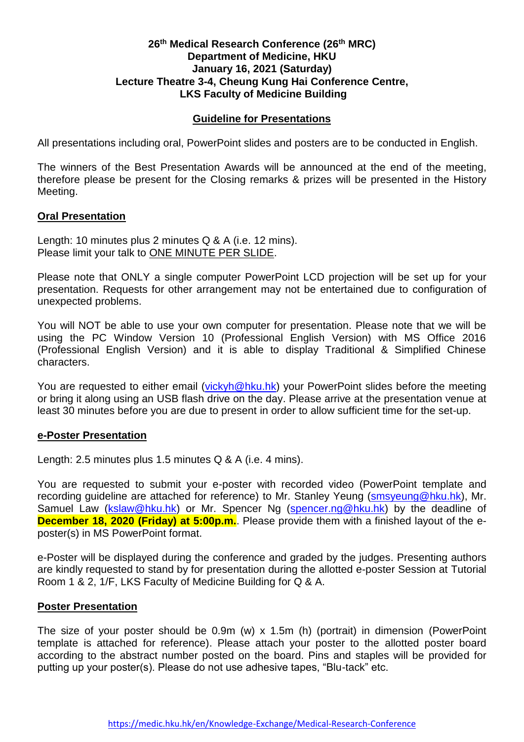# **26 th Medical Research Conference (26 th MRC) Department of Medicine, HKU January 16, 2021 (Saturday) Lecture Theatre 3-4, Cheung Kung Hai Conference Centre, LKS Faculty of Medicine Building**

## **Guideline for Presentations**

All presentations including oral, PowerPoint slides and posters are to be conducted in English.

The winners of the Best Presentation Awards will be announced at the end of the meeting, therefore please be present for the Closing remarks & prizes will be presented in the History Meeting.

### **Oral Presentation**

Length: 10 minutes plus 2 minutes Q & A (i.e. 12 mins). Please limit your talk to ONE MINUTE PER SLIDE.

Please note that ONLY a single computer PowerPoint LCD projection will be set up for your presentation. Requests for other arrangement may not be entertained due to configuration of unexpected problems.

You will NOT be able to use your own computer for presentation. Please note that we will be using the PC Window Version 10 (Professional English Version) with MS Office 2016 (Professional English Version) and it is able to display Traditional & Simplified Chinese characters.

You are requested to either email [\(vickyh@hku.hk\)](mailto:vickyh@hku.hk) your PowerPoint slides before the meeting or bring it along using an USB flash drive on the day. Please arrive at the presentation venue at least 30 minutes before you are due to present in order to allow sufficient time for the set-up.

### **e-Poster Presentation**

Length: 2.5 minutes plus 1.5 minutes Q & A (i.e. 4 mins).

You are requested to submit your e-poster with recorded video (PowerPoint template and recording guideline are attached for reference) to Mr. Stanley Yeung [\(smsyeung@hku.hk\)](mailto:smsyeung@hku.hk), Mr. Samuel Law [\(kslaw@hku.hk\)](mailto:kslaw@hku.hk) or Mr. Spencer Ng [\(spencer.ng@hku.hk\)](mailto:spencer.ng@hku.hk) by the deadline of **December 18, 2020 (Friday) at 5:00p.m.**. Please provide them with a finished layout of the eposter(s) in MS PowerPoint format.

e-Poster will be displayed during the conference and graded by the judges. Presenting authors are kindly requested to stand by for presentation during the allotted e-poster Session at Tutorial Room 1 & 2, 1/F, LKS Faculty of Medicine Building for Q & A.

### **Poster Presentation**

The size of your poster should be 0.9m (w) x 1.5m (h) (portrait) in dimension (PowerPoint template is attached for reference). Please attach your poster to the allotted poster board according to the abstract number posted on the board. Pins and staples will be provided for putting up your poster(s). Please do not use adhesive tapes, "Blu-tack" etc.